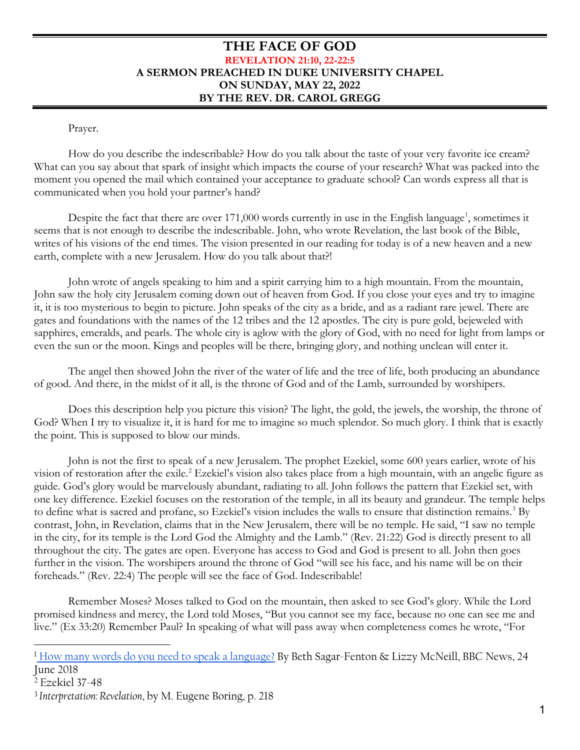## **THE FACE OF GOD REVELATION 21:10, 22-22:5 A SERMON PREACHED IN DUKE UNIVERSITY CHAPEL ON SUNDAY, MAY 22, 2022 BY THE REV. DR. CAROL GREGG**

Prayer.

How do you describe the indescribable? How do you talk about the taste of your very favorite ice cream? What can you say about that spark of insight which impacts the course of your research? What was packed into the moment you opened the mail which contained your acceptance to graduate school? Can words express all that is communicated when you hold your partner's hand?

Despite the fact that there are over [1](#page-0-0)71,000 words currently in use in the English language<sup>1</sup>, sometimes it seems that is not enough to describe the indescribable. John, who wrote Revelation, the last book of the Bible, writes of his visions of the end times. The vision presented in our reading for today is of a new heaven and a new earth, complete with a new Jerusalem. How do you talk about that?!

John wrote of angels speaking to him and a spirit carrying him to a high mountain. From the mountain, John saw the holy city Jerusalem coming down out of heaven from God. If you close your eyes and try to imagine it, it is too mysterious to begin to picture. John speaks of the city as a bride, and as a radiant rare jewel. There are gates and foundations with the names of the 12 tribes and the 12 apostles. The city is pure gold, bejeweled with sapphires, emeralds, and pearls. The whole city is aglow with the glory of God, with no need for light from lamps or even the sun or the moon. Kings and peoples will be there, bringing glory, and nothing unclean will enter it.

The angel then showed John the river of the water of life and the tree of life, both producing an abundance of good. And there, in the midst of it all, is the throne of God and of the Lamb, surrounded by worshipers.

Does this description help you picture this vision? The light, the gold, the jewels, the worship, the throne of God? When I try to visualize it, it is hard for me to imagine so much splendor. So much glory. I think that is exactly the point. This is supposed to blow our minds.

John is not the first to speak of a new Jerusalem. The prophet Ezekiel, some 600 years earlier, wrote of his vision of restoration after the exile.<sup>[2](#page-0-1)</sup> Ezekiel's vision also takes place from a high mountain, with an angelic figure as guide. God's glory would be marvelously abundant, radiating to all. John follows the pattern that Ezekiel set, with one key difference. Ezekiel focuses on the restoration of the temple, in all its beauty and grandeur. The temple helps to define what is sacred and profane, so Ezekiel's vision includes the walls to ensure that distinction remains.<sup>[3](#page-0-2)</sup> By contrast, John, in Revelation, claims that in the New Jerusalem, there will be no temple. He said, "I saw no temple in the city, for its temple is the Lord God the Almighty and the Lamb." (Rev. 21:22) God is directly present to all throughout the city. The gates are open. Everyone has access to God and God is present to all. John then goes further in the vision. The worshipers around the throne of God "will see his face, and his name will be on their foreheads." (Rev. 22:4) The people will see the face of God. Indescribable!

Remember Moses? Moses talked to God on the mountain, then asked to see God's glory. While the Lord promised kindness and mercy, the Lord told Moses, "But you cannot see my face, because no one can see me and live." (Ex 33:20) Remember Paul? In speaking of what will pass away when completeness comes he wrote, "For

<span id="page-0-0"></span><sup>1</sup> [How many words do you need to speak a language?](https://www.bbc.com/news/world-44569277) By Beth Sagar-Fenton & Lizzy McNeill, BBC News, 24 June 2018

l

<span id="page-0-1"></span><sup>2</sup> Ezekiel 37-48

<span id="page-0-2"></span><sup>3</sup> *Interpretation: Revelation*, by M. Eugene Boring, p. 218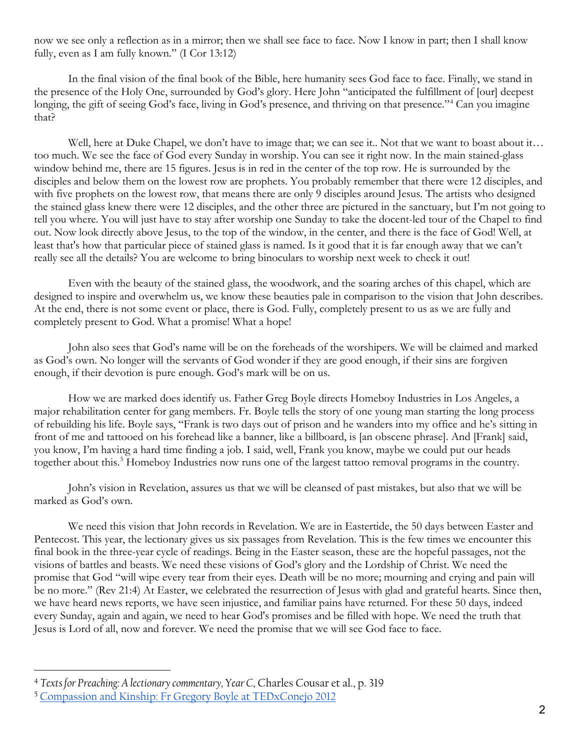now we see only a reflection as in a mirror; then we shall see face to face. Now I know in part; then I shall know fully, even as I am fully known." (I Cor 13:12)

In the final vision of the final book of the Bible, here humanity sees God face to face. Finally, we stand in the presence of the Holy One, surrounded by God's glory. Here John "anticipated the fulfillment of [our] deepest longing, the gift of seeing God's face, living in God's presence, and thriving on that presence."<sup>[4](#page-1-0)</sup> Can you imagine that?

Well, here at Duke Chapel, we don't have to image that; we can see it.. Not that we want to boast about it... too much. We see the face of God every Sunday in worship. You can see it right now. In the main stained-glass window behind me, there are 15 figures. Jesus is in red in the center of the top row. He is surrounded by the disciples and below them on the lowest row are prophets. You probably remember that there were 12 disciples, and with five prophets on the lowest row, that means there are only 9 disciples around Jesus. The artists who designed the stained glass knew there were 12 disciples, and the other three are pictured in the sanctuary, but I'm not going to tell you where. You will just have to stay after worship one Sunday to take the docent-led tour of the Chapel to find out. Now look directly above Jesus, to the top of the window, in the center, and there is the face of God! Well, at least that's how that particular piece of stained glass is named. Is it good that it is far enough away that we can't really see all the details? You are welcome to bring binoculars to worship next week to check it out!

Even with the beauty of the stained glass, the woodwork, and the soaring arches of this chapel, which are designed to inspire and overwhelm us, we know these beauties pale in comparison to the vision that John describes. At the end, there is not some event or place, there is God. Fully, completely present to us as we are fully and completely present to God. What a promise! What a hope!

John also sees that God's name will be on the foreheads of the worshipers. We will be claimed and marked as God's own. No longer will the servants of God wonder if they are good enough, if their sins are forgiven enough, if their devotion is pure enough. God's mark will be on us.

How we are marked does identify us. Father Greg Boyle directs Homeboy Industries in Los Angeles, a major rehabilitation center for gang members. Fr. Boyle tells the story of one young man starting the long process of rebuilding his life. Boyle says, "Frank is two days out of prison and he wanders into my office and he's sitting in front of me and tattooed on his forehead like a banner, like a billboard, is [an obscene phrase]. And [Frank] said, you know, I'm having a hard time finding a job. I said, well, Frank you know, maybe we could put our heads together about this.<sup>[5](#page-1-1)</sup> Homeboy Industries now runs one of the largest tattoo removal programs in the country.

John's vision in Revelation, assures us that we will be cleansed of past mistakes, but also that we will be marked as God's own.

We need this vision that John records in Revelation. We are in Eastertide, the 50 days between Easter and Pentecost. This year, the lectionary gives us six passages from Revelation. This is the few times we encounter this final book in the three-year cycle of readings. Being in the Easter season, these are the hopeful passages, not the visions of battles and beasts. We need these visions of God's glory and the Lordship of Christ. We need the promise that God "will wipe every tear from their eyes. Death will be no more; mourning and crying and pain will be no more." (Rev 21:4) At Easter, we celebrated the resurrection of Jesus with glad and grateful hearts. Since then, we have heard news reports, we have seen injustice, and familiar pains have returned. For these 50 days, indeed every Sunday, again and again, we need to hear God's promises and be filled with hope. We need the truth that Jesus is Lord of all, now and forever. We need the promise that we will see God face to face.

l

<span id="page-1-0"></span><sup>4</sup> *Texts for Preaching: A lectionary commentary, Year C*, Charles Cousar et al., p. 319

<span id="page-1-1"></span><sup>5</sup> [Compassion and Kinship: Fr Gregory Boyle at TEDxConejo 2012](https://www.youtube.com/watch?v=ipR0kWt1Fkc)